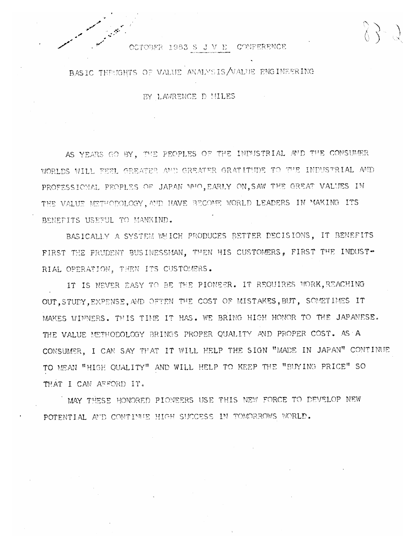## OCTOBER 1983 S J V E CONFERENCE

BASIC THEMGHTS OF VALUE ANALYSIS/VALUE ENGINEERING

BY LAWRENCE D MILES

AS YEARS GO BY, THE PEOPLES OF THE INDUSTRIAL AND THE CONSUMER WORLDS WILL FEEL GREATER AND GREATER GRATITUDE TO THE INDUSTRIAL AND PROFESSIONAL PEOPLES OF JAPAN WHO, EARLY ON, SAW THE GREAT VALUES IN THE VALUE METHODOLOGY, AND HAVE BECOME WORLD LEADERS IN MAKING ITS BENEFITS USEFUL TO MANKIND.

BASICALLY A SYSTEM WHICH PRODUCES BETTER DECISIONS, IT BENEFITS FIRST THE PRUDENT BUSINESSMAN, THEN HIS CUSTOMERS, FIRST THE INDUST-RIAL OPERATION, THEN ITS CUSTOMERS.

IT IS NEVER EASY TO BE THE PIONEER. IT REQUIRES WORK, REACHING OUT, STUDY, EXPENSE, AND OFTEN THE COST OF MISTAKES, BUT, SOMETIMES IT MAKES WINNERS. THIS TIME IT HAS. WE BRING HIGH HONOR TO THE JAPANESE. THE VALUE METHODOLOGY BRINGS PROPER QUALITY AND PROPER COST. AS A CONSUMER, I CAN SAY THAT IT WILL HELP THE SIGN "MADE IN JAPAN" CONTINUE TO MEAN "HIGH QUALITY" AND WILL HELP TO KEEP THE "BUYING PRICE" SO THAT I CAN AFFORD IT.

MAY THESE HONORED PIONEERS USE THIS NEW FORCE TO DEVELOP NEW POTENTIAL AFD CONTINUE HIGH SUCCESS IN TOMORROWS WORLD.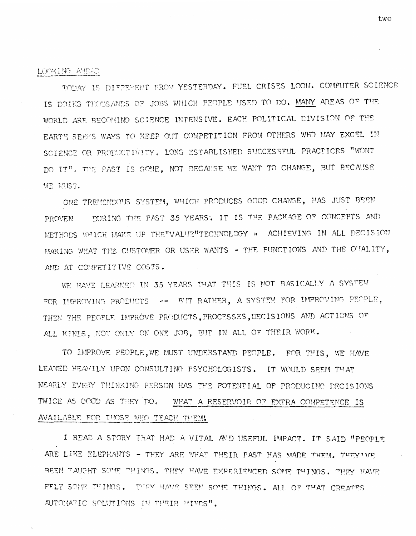## LOOKING AMEAD

TODAY IS DIFFERENT FROM YESTERDAY. FUEL CRISES LOOM. COMPUTER SCIENCE IS DOING THOUSANDS OF JOBS WHICH PEOPLE USED TO DO. MANY AREAS OF THE WORLD ARE BECOMING SCIENCE INTENSIVE. EACH POLITICAL DIVISION OF THE EARTH SEEPS WAYS TO KEEP OUT COMPETITION FROM OTHERS WHO MAY EXCEL IN SCIENCE OR PRODUCTIVITY. LONG ESTABLISHED SUCCESSFUL PRACTICES "WONT DO IT". THE PAST IS GONE, NOT BECAUSE WE WANT TO CHANGE, BUT BECAUSE WE MUST.

ONE TREMENDOUS SYSTEM, WHICH PRODUCES GOOD CHANGE, HAS JUST BEEN DURING THE PAST 35 YEARS. IT IS THE PACKAGE OF CONCEPTS AND PROVEN. METHODS WHICH MAKE UP THE "VALUE" TECHNOLOGY \* ACHIEVING IN ALL DECISION MAKING WHAT THE CUSTOMER OR USER WANTS - THE FUNCTIONS AND THE O'IALITY. AND AT COMPETITIVE COSTS.

WE HAVE LEARNED IN 35 YEARS THAT THIS IS NOT BASICALLY A SYSTEM FOR IMPROVING PRODUCTS -- BUT RATHER, A SYSTEM FOR IMPROVING PEOPLE, THEN THE PEOPLE IMPROVE PRODUCTS, PROCESSES, DECISIONS AND ACTIONS OF ALL KINDS, NOT ONLY ON ONE JOB, BUT IN ALL OF THEIR WORK.

TO IMPROVE PEOPLE, WE MUST UNDERSTAND PEOPLE. FOR THIS, WE HAVE LEANED HEAVILY UPON CONSULTING PSYCHOLOGISTS. IT WOULD SEEM THAT NEARLY EVERY THINKING PERSON HAS THE POTENTIAL OF PRODUCING DECISIONS TWICE AS GOOD AS THEY DO. WHAT A RESERVOIR OF EXTRA COMPETENCE IS AVAILABLE FOR THOSE WHO TEACH THEM!

I READ A STORY THAT HAD A VITAL AND USEFUL IMPACT. IT SAID "PEOPLE ARE LIKE ELEPHANTS - THEY ARE WHAT THEIR PAST HAS MADE THEM. THEY'VE BEEN TAUCHT SOME THINGS. THEY HAVE EXPERIENCED SOME THINGS. THEY HAVE FELT SOME TUINGS. THEY HAVE SEEM SOME THINGS. ALL OF THAT CREATES AUTOMATIC SOLUTIONS IN THEIR MINES".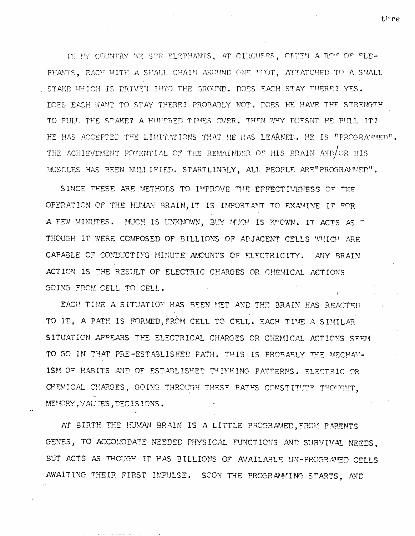IN MY COUNTRY WE SEE ELEPHANTS, AT CIRCUSES, OFTEN A ROW OF ELE-PHANTS. EACH WITH A SMALL CHAIN AROUND ONE FOOT. ATTATCHED TO A SMALL . STAKE WHICH IS DRIVEN INTO THE GROUND. DOES EACH STAY THERE? YES. DOES EACH WANT TO STAY THERE? PROBABLY NOT. DOES HE HAVE THE STRENGTH TO PULL THE STAKE? A HUNDRED TIMES OVER. THEN WHY DOESNT HE PULL IT? HE HAS ACCEPTED THE LIMITATIONS THAT HE HAS LEARNED. HE IS "PROGRAMMED". THE ACHIEVEMENT POTENTIAL OF THE REMAINDER OF HIS BRAIN AND/OR HIS MUSCLES HAS BEEN NULLIFIED. STARTLINGLY, ALL PEOPLE ARE "PROGRAMMED".

SINCE THESE ARE METHODS TO IMPROVE THE EFFECTIVENESS OF THE OPERATION OF THE HUMAN BRAIN, IT IS IMPORTANT TO EXAMINE IT FOR A FEW MINUTES. MUCH IS UNKNOWN, BUY MUCH IS KNOWN. IT ACTS AS T THOUGH IT WERE COMPOSED OF BILLIONS OF ADJACENT CELLS WHICH ARE CAPABLE OF CONDUCTING MINUTE AMOUNTS OF ELECTRICITY. ANY BRAIN ACTION IS THE RESULT OF ELECTRIC CHARGES OR CHEMICAL ACTIONS GOING FROM CELL TO CELL.

EACH TIME A SITUATION HAS BEEN MET AND THE BRAIN HAS REACTED TO IT, A PATH IS FORMED, FROM CELL TO CELL. EACH TIME A SIMILAR SITUATION APPEARS THE ELECTRICAL CHARGES OR CHEMICAL ACTIONS SEEM TO GO IN THAT PRE-ESTABLISHED PATH. THIS IS PROBABLY THE MECHAN-ISM OF HABITS AND OF ESTABLISHED THINKING PATTERNS. ELECTRIC OR CHEMICAL CHARGES, GOING THROUGH THESE PATHS CONSTITUTE THOUGHT. MENORY, VALUES, DECISIONS.

AT BIRTH THE HUMAN BRAIN IS A LITTLE PROGRAMED. FROM PARENTS GENES, TO ACCOMODATE NEEDED PHYSICAL FUNCTIONS AND SURVIVAL NEEDS, BUT ACTS AS THOUGH IT HAS BILLIONS OF AVAILABLE UN-PROGRAMED CELLS AWAITING THEIR FIRST IMPULSE. SCOM THE PROGRAMMING STARTS, AND

thre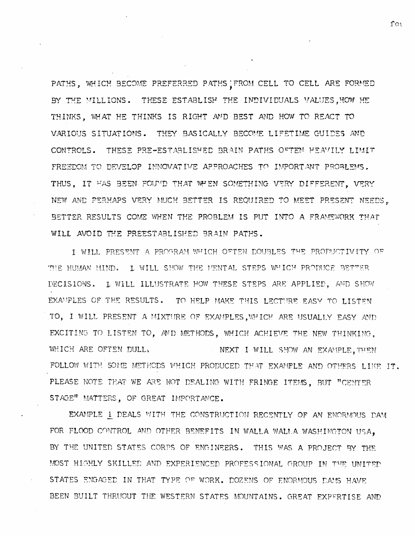PATHS, WHICH BECOME PREFERRED PATHS FROM CELL TO CELL ARE FORMED BY THE MILLIONS. THESE ESTABLISH THE INDIVIDUALS VALUES, HOW HE THINKS, WHAT HE THINKS IS RIGHT AND BEST AND HOW TO REACT TO VARIOUS SITUATIONS. THEY BASICALLY BECOME LIFETIME GUIDES AND CONTROLS. THESE PRE-ESTABLISHED BRAIN PATHS OFTEN HEAVILY LIMIT FREEDOM TO DEVELOP INNOVATIVE APPROACHES TO IMPORTANT PROBLEMS. THUS, IT FAS BEEN FOUND THAT WHEN SOMETHING VERY DIFFERENT, VERY NEW AND PERHAPS VERY MUCH BETTER IS REQUIRED TO MEET PRESENT NEEDS, BETTER RESULTS COME WHEN THE PROBLEM IS PUT INTO A FRAMEWORK THAT WILL AVOID THE PREESTABLISHED BRAIN PATHS.

I WILL PRESENT A PROGRAM WHICH OFTEN DOUBLES THE PRODUCTIVITY OF THE HUMAN MIND. I WILL SHOW THE MENTAL STEPS WHICH PRODUCE BETTER DECISIONS. I WILL ILLUSTRATE HOW THESE STEPS ARE APPLIED, AND SHOW EXAMPLES OF THE RESULTS. TO HELP MAKE THIS LECTURE EASY TO LISTEN TO, I WILL PRESENT A MIXTURE OF EXAMPLES, WHICH ARE USUALLY EASY AND EXCITING TO LISTEN TO, AND METHODS, WHICH ACHIEVE THE NEW THINKING, WHICH ARE OFTEN DULL, NEXT I WILL SHOW AN EXAMPLE. THEN FOLLOW WITH SOME METHODS WHICH PRODUCED THAT EXAMPLE AND OTHERS LIKE IT. PLEASE NOTE THAT WE ARE NOT DEALING WITH FRINGE ITEMS, BUT "CENTER STAGE" MATTERS, OF GREAT IMPORTANCE.

EXAMPLE 1 DEALS WITH THE CONSTRUCTION RECENTLY OF AN ENORMOUS DAM FOR FLOOD CONTROL AND OTHER BENEFITS IN WALLA WALLA WASHINGTON USA. BY THE UNITED STATES CORPS OF ENGINEERS. THIS WAS A PROJECT BY THE MOST HIGHLY SKILLED AND EXPERIENCED PROFESSIONAL GROUP IN THE UNITED STATES ENGAGED IN THAT TYPE OF WORK. DOZENS OF ENORMOUS DAMS HAVE BEEN BUILT THRUOUT THE WESTERN STATES MOUNTAINS. GREAT EXPERTISE AND

fot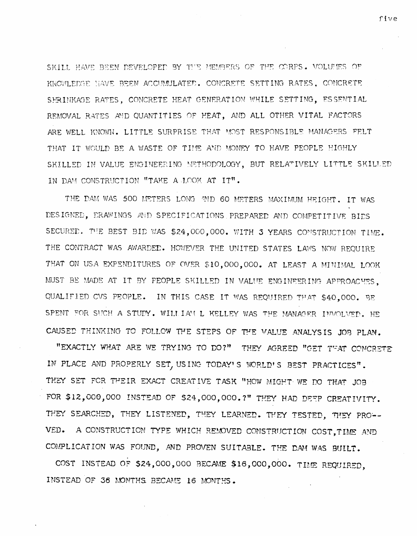SKILL HAVE BEEN DEVELOPED BY THE MEMBERS OF THE CORPS. VOLUMES OF KNOWLEDGE NAVE BEEN ACCUMULATED. CONCRETE SETTING RATES, CONCRETE SERINKAGE RATES, CONCRETE HEAT GENERATION WHILE SETTING, ESSENTIAL REMOVAL RATES AND QUANTITIES OF HEAT, AND ALL OTHER VITAL FACTORS ARE WELL KNOWN. LITTLE SURPRISE THAT MOST RESPONSIBLE MANAGERS FELT THAT IT WOULD BE A WASTE OF TIME AND MONEY TO HAVE PEOPLE HIGHLY SKILLED IN VALUE ENGINEERING METHODOLOGY, BUT RELATIVELY LITTLE SKILLED IN DAM CONSTRUCTION "TAKE A LOOK AT IT".

THE DAM WAS 500 METERS LONG AND 60 METERS MAXIMUM HEIGHT. IT WAS DESIGNED, DRAWINGS AND SPECIFICATIONS PREPARED AND COMPETITIVE BIDS SECURED. THE BEST BID WAS \$24,000,000. WITH 3 YEARS CONSTRUCTION TIME. THE CONTRACT WAS AWARDED. HOWEVER THE UNITED STATES LAWS NOW REQUIRE THAT ON USA EXPENDITURES OF OVER \$10,000,000. AT LEAST A MINIMAL LOOK MUST BE MADE AT IT BY FEOPLE SKILLED IN VALUE ENGINEERING APPROACHES, QUALIFIED CVS PEOPLE. IN THIS CASE IT WAS REQUIRED THAT \$40,000. BE SPENT FOR SUCH A STUDY. WILLIAM L KELLEY WAS THE MANAGER INVOLVED. HE CAUSED THINKING TO FOLLOW THE STEPS OF THE VALUE ANALYSIS JOB PLAN.

"EXACTLY WHAT ARE WE TRYING TO DO?" THEY AGREED "GET THAT CONCRETE IN PLACE AND PROPERLY SET, USING TODAY'S WORLD'S BEST PRACTICES". THEY SET FOR THEIR EXACT CREATIVE TASK "HOW MIGHT WE DO THAT JOB FOR \$12,000,000 INSTEAD OF \$24,000,000. 7" THEY HAD DEFP CREATIVITY. THEY SEARCHED, THEY LISTENED, THEY LEARNED. THEY TESTED, THEY PRO--A CONSTRUCTION TYPE WHICH REMOVED CONSTRUCTION COST, TIME AND VED. COMPLICATION WAS FOUND, AND PROVEN SUITABLE. THE DAM WAS BUILT.

COST INSTEAD OF \$24,000,000 BECAME \$16,000,000. TIME REQUIRED, INSTEAD OF 36 MONTHS BECAME 16 MONTHS.

five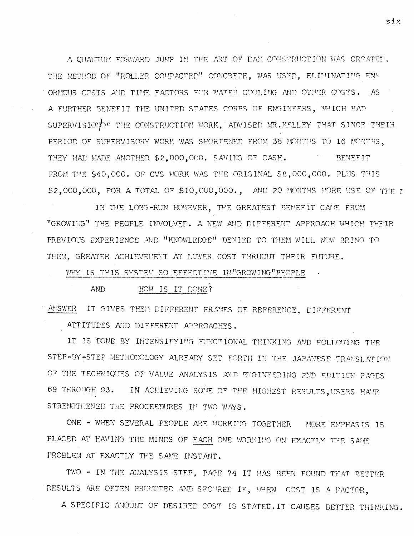A OUANTUM FORWARD JUMP IN THE ART OF DAM CONSTRUCTION WAS CREATED. THE METHOD OF "ROLLER COMPACTED" CONCRETE, WAS USED, ELIMINATING EN-ORMOUS COSTS AND TIME FACTORS FOR WATER COOLING AND OTHER COSTS. AS A FURTHER BENEFIT THE UNITED STATES CORPS OF ENGINEERS, WHICH HAD SUPERVISION THE CONSTRUCTION WORK, ADVISED MR. KELLEY THAT SINCE THEIR PERIOD OF SUPERVISORY WORK WAS SHORTENED FROM 36 MONTHS TO 16 MONTHS. THEY HAD MADE ANOTHER \$2,000,000. SAVING OF CASH. **BENEFIT** FROM THE \$40,000. OF CVS WORK WAS THE ORIGINAL \$8,000,000. PLUS THIS \$2,000,000, FOR A TOTAL OF \$10,000,000., AND 20 MONTHS MORE USE OF THE I

IN THE LONG-RUN HOWEVER, THE GREATEST BENEFIT CAME FROM "GROWING" THE PEOPLE INVOLVED. A NEW AND DIFFERENT APPROACH WHICH THEIR PREVIOUS EXPERIENCE AND "KNOWLEDGE" DENIED TO THEM WILL NOW BRING TO THEM. GREATER ACHIEVEMENT AT LOWER COST THRUOUT THEIR FUTURE.

WHY IS THIS SYSTEM SO EFFECTIVE IN"GROWING"PEOPLE

HOW IS IT DONE? **AND** 

ANSWER IT GIVES THEM DIFFERENT FRAMES OF REFERENCE, DIFFERENT

ATTITUDES AND DIFFERENT APPROACHES.

IT IS DONE BY INTENSIFYING FUNCTIONAL THINKING AND FOLLOWING THE STEP-BY-STEP METHODOLOGY ALREADY SET FORTH IN THE JAPANESE TRANSLATION OF THE TECHNIQUES OF VALUE ANALYSIS AND ENGINEERING 2ND EDITION PAGES 69 THROUGH 93. IN ACHIEVING SOME OF THE HIGHEST RESULTS, USERS HAVE STRENGTHENED THE PROCEEDURES IN TWO WAYS.

ONE - WHEN SEVERAL PEOPLE ARE WORKING TOGETHER MORE EMPHASIS IS PLACED AT HAVING THE MINDS OF EACH ONE WORKING ON EXACTLY THE SAME PROBLEM AT EXACTLY THE SAME INSTANT.

TWO - IN THE ANALYSIS STEP, PAGE 74 IT HAS BEEN FOUND THAT BETTER RESULTS ARE OFTEN PROMOTED AND SECURED IF, WHEN COST IS A FACTOR,

A SPECIFIC AMOUNT OF DESIRED COST IS STATED. IT CAUSES BETTER THINKING.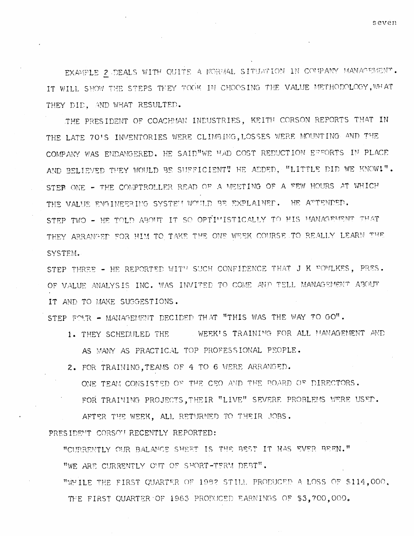seven

EXAMPLE 2 DEALS WITH QUITE A NORMAL SITUATION IN COMPANY MANAGEMENT. IT WILL SHOW THE STEPS THEY TOOK IN CHOOSING THE VALUE METHODOLOGY, WHAT THEY DID. AND WHAT RESULTED.

THE PRESIDENT OF COACHMAN INDUSTRIES, KEITH CORSON REPORTS THAT IN THE LATE 70'S INVENTORIES WERE CLIMBING, LOSSES WERE MOUNTING AND THE COMPANY WAS ENDANGERED. HE SAID WE HAD COST REDUCTION EFFORTS IN PLACE AND BELIEVED THEY WOULD BE SUFFICIENT! HE ADDED. "LITTLE DID WE KNOW!". STEP ONE - THE COMPTROLLER READ OF A MEETING OF A FEW HOURS AT WHICH THE VALUE ENGINEERING SYSTEM WOULD BE EXPLAINED. HE ATTENDED. STEP TWO - HE TOLD ABOUT IT SO OPTIMISTICALLY TO HIS MANAGEMENT THAT THEY ARRANGED FOR HIM TO TAKE THE ONE WEEK COURSE TO REALLY LEARN THE SYSTEM.

IT AND TO MAKE SUGGESTIONS.

ONE TEAM CONSISTED OF THE CEO AND THE BOARD OF DIRECTORS.

"CURRENTLY OUR BALANCE SHEET IS THE BEST IT HAS EVER BEEN."

THE FIRST QUARTER OF 1983 PRODUCED EARNINGS OF \$3,700,000.

FOR TRAINING PROJECTS, THEIR "LIVE" SEVERE PROBLEMS WERE USED.

"WHILE THE FIRST QUARTER OF 1982 STILL PRODUCED A LOSS OF \$114,000.

WEEK'S TRAINING FOR ALL MANAGEMENT AND

STEP FOUR - MANAGEMENT DECIDED THAT "THIS WAS THE WAY TO GO".

AS MANY AS PRACTICAL TOP PROFESSIONAL PEOPLE.

2. FOR TRAINING, TEAMS OF 4 TO 6 WERE ARRANGED.

AFTER THE WEEK. ALL RETURNED TO THEIR JOBS.

"WE ARE CURRENTLY OUT OF SHORT-TERM DEBT".

1. THEY SCHEDULED THE

PRESIDENT CORSON RECENTLY REPORTED:

OF VALUE ANALYSIS INC. WAS INVITED TO COME AND TELL MANAGEMENT ABOUT

STEP THREE - HE REPORTED WITH SUCH CONFIDENCE THAT J K FOWLKES, PRES.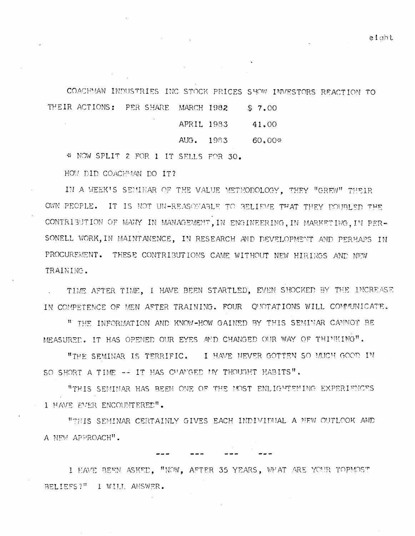COACHMAN INDUSTRIES INC STOCK PRICES SHOW INVESTORS REACTION TO THEIR ACTIONS: PER SHARE MARCH 1982 \$7.00

| APRIL 1983   |      | 41.00    |
|--------------|------|----------|
| $A \cup G$ . | 1983 | $60,00*$ |

\* NOW SPLIT 2 FOR 1 IT SELLS FOR 30.

HOW DID COACHMAN DO IT?

IN A WEEK'S SEMINAR OF THE VALUE METHODOLOGY, THEY "GREW" THEIR OWN PEOPLE. IT IS NOT UN-REASONABLE TO BELIEVE THAT THEY COUBLED THE CONTRIBUTION OF MANY IN MANAGEMENT, IN ENGINEERING. IN MARKETING. IN PER-SONELL WORK, IN MAINTANENCE, IN RESEARCH AND DEVELOPMENT AND PERHAPS IN PROCUREMENT. THESE CONTRIBUTIONS CAME WITHOUT NEW HIRINGS AND NEW TRAINING.

TIME AFTER TIME, I HAVE BEEN STARTLED, EVEN SHOCKED BY THE INCREASE IN COMPETENCE OF MEN AFTER TRAINING. FOUR QUOTATIONS WILL COMMUNICATE.

" THE INFORMATION AND KNOW-HOW GAINED BY THIS SEMINAR CANNOT BE MEASURED. IT HAS OPENED OUR EYES AND CHANGED OUR WAY OF THINKING".

"THE SEMINAR IS TERRIFIC. I HAVE NEVER GOTTEN SO MUCH GOOD IN SO SHORT A TIME -- IT HAS CHANGED MY THOUGHT HABITS".

"THIS SEMINAR HAS BEEN ONE OF THE MOST ENLIGHTENING EXPERIENCES I HAVE EVER ENCOUNTERED".

"THIS SEMINAR CERTAINLY GIVES EACH INDIVIDUAL A NEW OUTLOOK AND A NEW APPROACH".

I HAVE BEEN ASKED, "NOW, AFTER 35 YEARS, WHAT ARE YOUR TOPMOST BELIEFS?" I WILL ANSWER.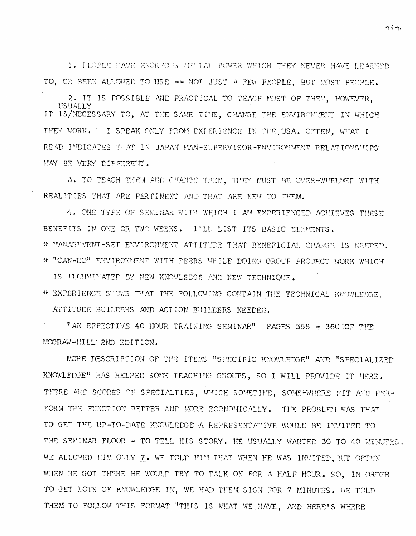1. PEOPLE HAVE ENORMOUS MESTAL POWER WHICH THEY NEVER HAVE LEARNED TO. OR BEEN ALLOWED TO USE -- NOT JUST A FEW PEOPLE. BUT MOST PEOPLE.

2. IT IS POSSIBLE AND PRACTICAL TO TEACH MOST OF THEM. HOWEVER. USUALLY IT IS/NECESSARY TO, AT THE SAME TIME, CHANGE THE ENVIRONMENT IN WHICH THEY WORK. I SPEAK ONLY FROM EXPERIENCE IN THE USA. OFTEN. WHAT I READ INDICATES THAT IN JAPAN MAN-SUPERVISOR-ENVIRONMENT RELATIONSHIPS MAY BE VERY DIFFERENT.

3. TO TEACH THEM AND CHANGE THEM. THEY MUST BE OVER-WHELMED WITH REALITIES THAT ARE PERTINENT AND THAT ARE NEW TO THEM.

4. ONE TYPE OF SEMINAR WITH WHICH I AM EXPERIENCED ACHIEVES THESE BENEFITS IN ONE OR TWO WEEKS. I'LL LIST ITS BASIC ELEMENTS. \* MANAGEMENT-SET ENVIRONMENT ATTITUDE THAT BENEFICIAL CHANGE IS NEEDED. \* "CAN-DO" ENVIRONMENT WITH PEERS WHILE DOING GROUP PROJECT WORK WHICH

IS ILLUMINATED BY NEW KNOWLEDGE AND NEW TECHNIOUE. \* EXPERIENCE SHOWS THAT THE FOLLOWING CONTAIN THE TECHNICAL KNOWLEDGE. ATTITUDE BUILDERS AND ACTION BUILDERS NEEDED.

"AN EFFECTIVE 40 HOUR TRAINING SEMINAR" PAGES 358 - 360 OF THE MCGRAW-HILL 2ND EDITION.

MORE DESCRIPTION OF THE ITEMS "SPECIFIC KNOWLEDGE" AND "SPECIALIZED KNOWLEDGE" HAS HELPED SOME TEACHING GROUPS, SO I WILL PROVIDE IT HERE. THERE ARE SCORES OF SPECIALTIES, WHICH SOMETIME, SOME#WHERE FIT AND PER-FORM THE FUNCTION BETTER AND MORE ECONOMICALLY. THE PROBLEM WAS THAT TO GET THE UP-TO-DATE KNOWLEDGE A REPRESENTATIVE WOULD BE INVITED TO THE SEMINAR FLOOR - TO TELL HIS STORY. HE USUALLY WANTED 30 TO 40 MINUTES. WE ALLOWED HIM ONLY 7. WE TOLD HIM THAT WHEN HE WAS INVITED, BUT OFTEN WHEN HE GOT THERE HE WOULD TRY TO TALK ON FOR A HALF HOUR. SO. IN ORDER TO GET LOTS OF KNOWLEDGE IN, WE HAD THEM SIGN FOR 7 MINUTES. WE TOLD THEM TO FOLLOW THIS FORMAT "THIS IS WHAT WE HAVE, AND HERE'S WHERE

nino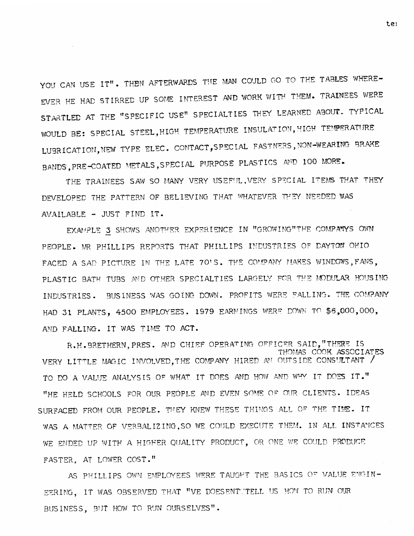YOU CAN USE IT". THEN AFTERWARDS THE MAN COULD GO TO THE TABLES WHERE-EVER HE HAD STIRRED UP SOME INTEREST AND WORK WITH THEM. TRAINEES WERE STARTLED AT THE "SPECIFIC USE" SPECIALTIES THEY LEARNED ABOUT. TYPICAL WOULD BE: SPECIAL STEEL, HIGH TEMPERATURE INSULATION, HIGH TEMPERATURE LUBRICATION, NEW TYPE ELEC. CONTACT, SPECIAL FASTNERS, NON-WEARING BRAKE BANDS, PRE-COATED METALS, SPECIAL PURPOSE PLASTICS AND 100 MORE.

THE TRAINEES SAW SO MANY VERY USEFUL. VERY SPECIAL ITEMS THAT THEY DEVELOPED THE PATTERN OF BELIEVING THAT WHATEVER THEY NEEDED WAS AVAILABLE - JUST FIND IT.

EXAMPLE 3 SHOWS ANOTHER EXPERIENCE IN "GROWING"THE COMPANYS OWN PEOPLE. MR PHILLIPS REPORTS THAT PHILLIPS INDUSTRIES OF DAYTON OHIO FACED A SAD PICTURE IN THE LATE 70'S. THE COMPANY MAKES WINDOWS, FANS, PLASTIC BATH TUBS AND OTHER SPECIALTIES LARGELY FOR THE MODULAR HOUSING INDUSTRIES. BUSINESS WAS GOING DOWN. PROFITS WERE FALLING. THE COMPANY HAD 31 PLANTS, 4500 EMPLOYEES. 1979 EARNINGS WERE DOWN TO \$6,000,000, AND FALLING. IT WAS TIME TO ACT.

R.H.BRETHERN, PRES. AND CHIEF OPERATING OFFICER SAID, "THERE IS THOMAS COOK ASSOCIATES VERY LITTLE MAGIC INVOLVED, THE COMPANY HIRED AN OUTSIDE CONSULTANT / TO DO A VALUE ANALYSIS OF WHAT IT DOES AND HOW AND WHY IT DOES IT." "HE HELD SCHOOLS FOR OUR PEOPLE AND EVEN SOME OF OUR CLIENTS. IDEAS SURFACED FROM OUR PEOPLE. THEY KNEW THESE THINGS ALL OF THE TIME. IT WAS A MATTER OF VERBALIZING, SO WE COULD EXECUTE THEM. IN ALL INSTANCES WE ENDED UP WITH A HIGHER QUALITY PRODUCT, OR ONE WE COULD PRODUCE FASTER. AT LOWER COST."

AS PHILLIPS OWN EMPLOYEES WERE TAUGHT THE BASICS OF VALUE ENGIN-EERING, IT WAS OBSERVED THAT "VE DOESENT TELL US HOW TO RUN OUR BUSINESS, BUT HOW TO RUN OURSELVES".

te<sub>1</sub>